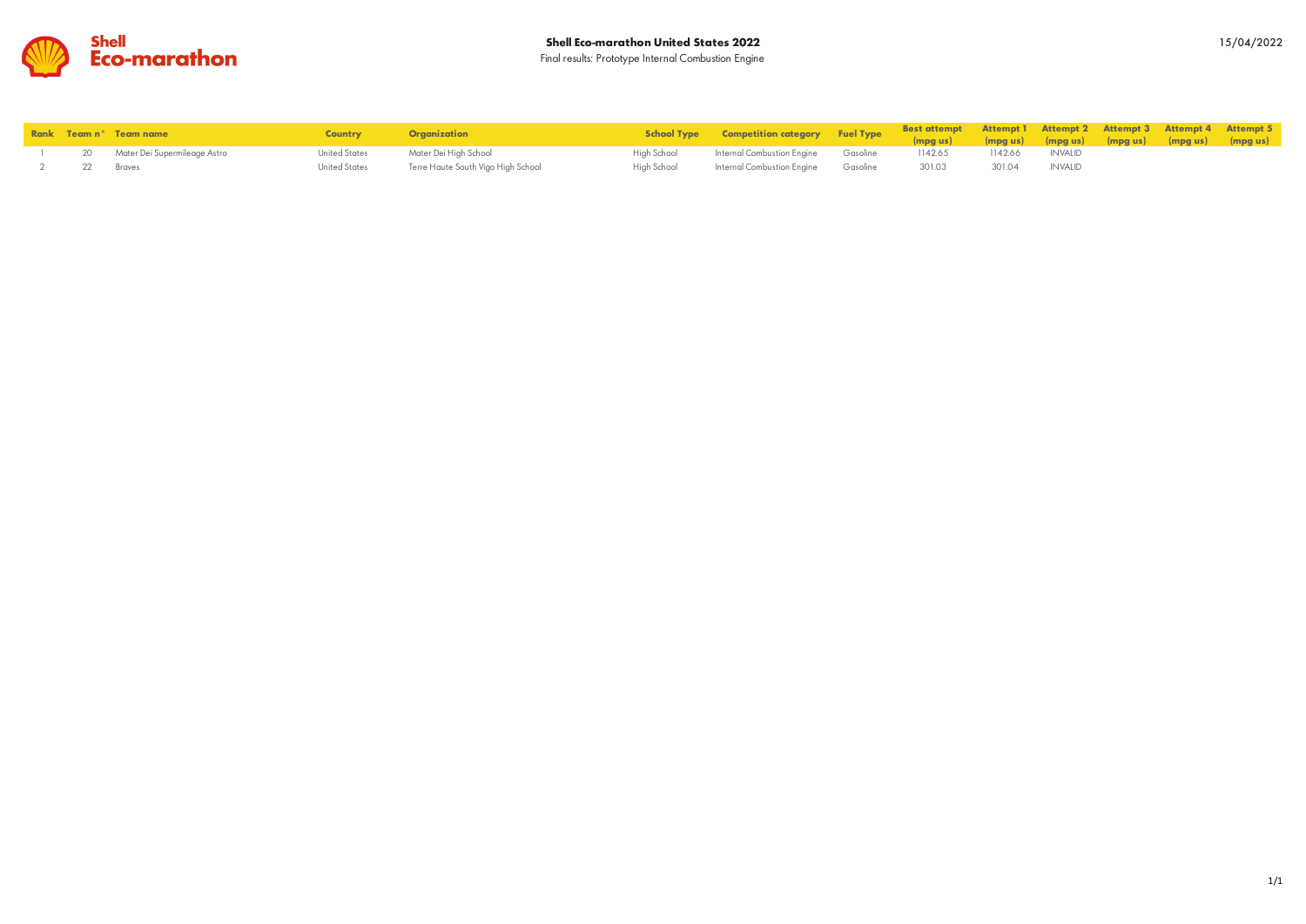

|  | Rank Team n° Team name          | <b>Country Condition</b>                         | School Type Competition category Fuel Type (mpg us) (mpg us) (mpg us) (mpg us) (mpg us) (mpg us) | Best attempt Attempt 1 Attempt 2 Attempt 3 Attempt 4 Attempt 5 |                |  |  |
|--|---------------------------------|--------------------------------------------------|--------------------------------------------------------------------------------------------------|----------------------------------------------------------------|----------------|--|--|
|  | 20 Mater Dei Supermileage Astro | United States Mater Dei High School              | High School 10 Internal Combustion Engine Gasoline 1142.65 1142.66 INVALID                       |                                                                |                |  |  |
|  |                                 | United States Terre Haute South Vigo High School |                                                                                                  |                                                                | 301.04 INVALID |  |  |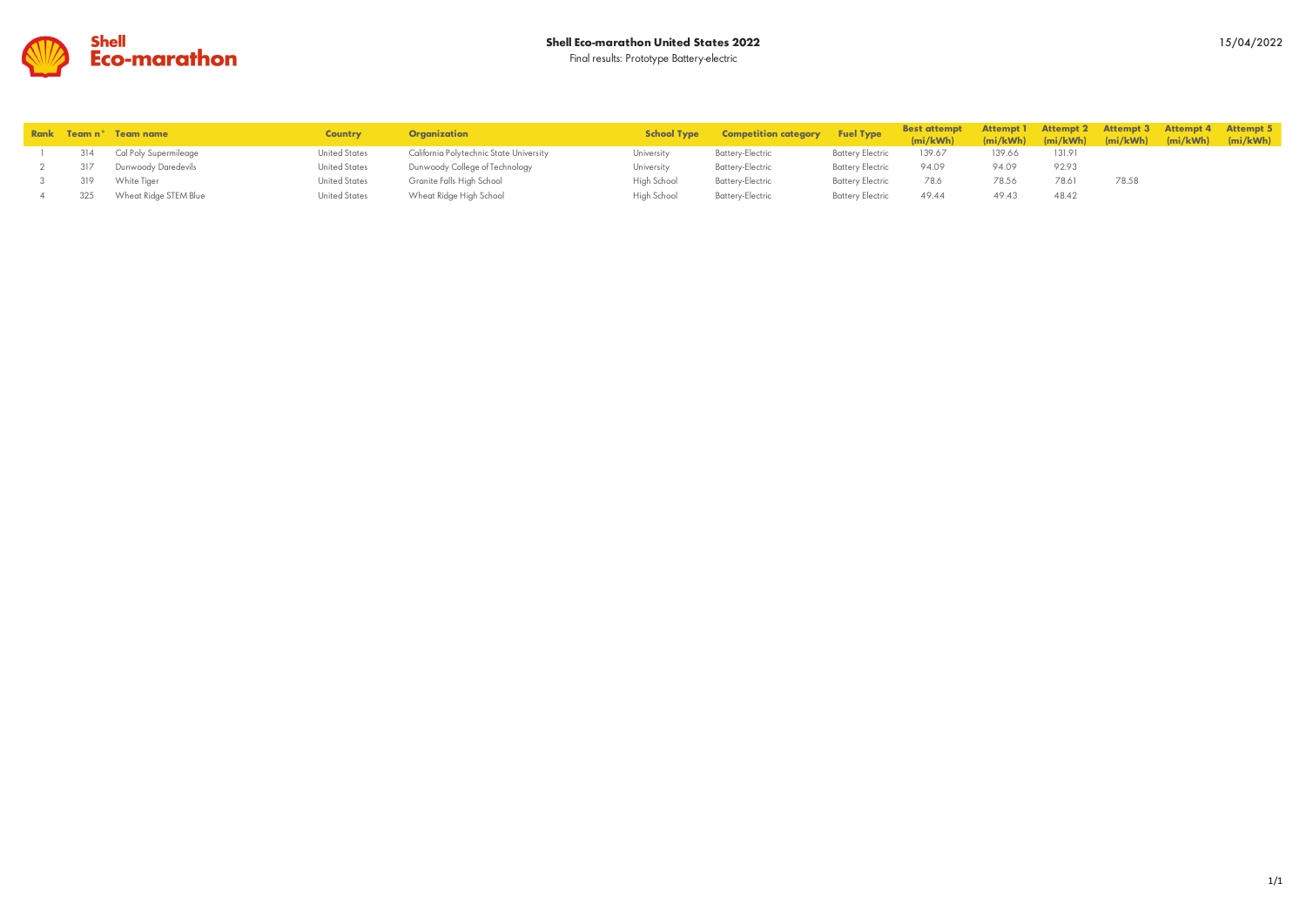

|     | Rank Team n° Team name | <b>Country</b>       | Organization                            | <b>School Type</b> | <b>Competition category Fuel Type</b> |                  | <b>Best attempt</b> |        |        |       | Attempt 1 Attempt 2 Attempt 3 Attempt 4 Attempt 5 |
|-----|------------------------|----------------------|-----------------------------------------|--------------------|---------------------------------------|------------------|---------------------|--------|--------|-------|---------------------------------------------------|
|     |                        |                      |                                         |                    |                                       |                  | (mi/kWh)            |        |        |       | (mi/kWh) (mi/kWh) (mi/kWh) (mi/kWh) (mi/kWh)      |
| 314 | Cal Poly Supermileage  | <b>United States</b> | California Polytechnic State University | University         | Battery-Electric                      | Battery Electric | 139.67              | 139.66 | 131.91 |       |                                                   |
| 317 | Dunwoody Daredevils    | <b>United States</b> | Dunwoody College of Technology          | University         | Battery-Electric                      | Battery Electric | 94.09               | 94.09  | 92.93  |       |                                                   |
|     | White Tiger            | <b>United States</b> | Granite Falls High School               | High School        | Battery-Electric                      | Battery Electric | 78.6                | 78.56  | 78.61  | 78.58 |                                                   |
| 325 | Wheat Ridge STEM Blue  | <b>United States</b> | Wheat Ridge High School                 | High School        | Battery-Electric                      | Battery Electric | 49.44               | 49.43  | 48.42  |       |                                                   |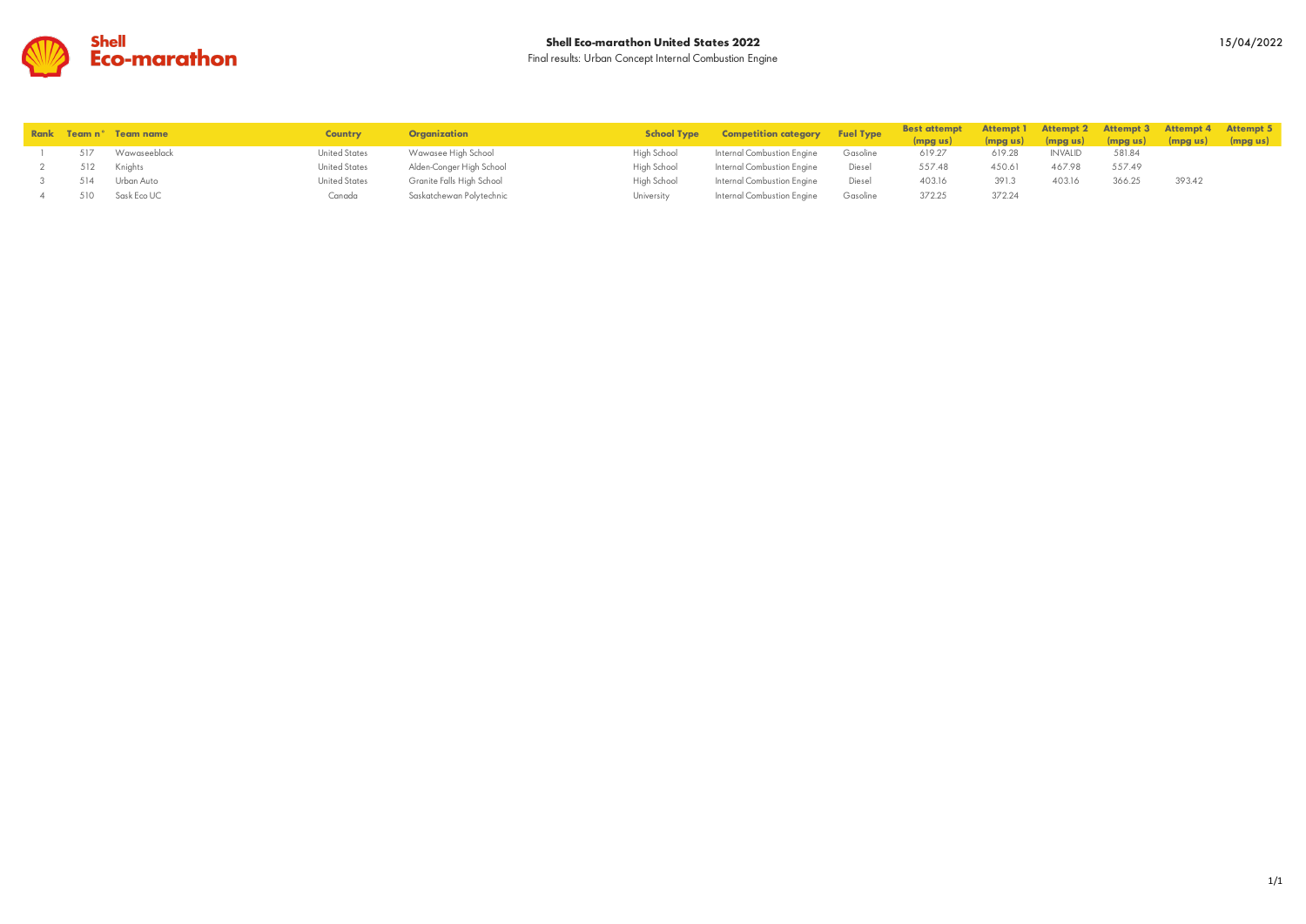

|     | Rank Team n° Team name | <b>Country</b>       | Organization              |             | School Type Competition category Fuel Type |        | Best attempt        Attempt 1     Attempt 2     Attempt 3     Attempt 4     Attempt 5 |        |         |        |        |                                              |
|-----|------------------------|----------------------|---------------------------|-------------|--------------------------------------------|--------|---------------------------------------------------------------------------------------|--------|---------|--------|--------|----------------------------------------------|
|     |                        |                      |                           |             |                                            |        | (mpgus)                                                                               |        |         |        |        | (mpg us) (mpg us) (mpg us) (mpg us) (mpg us) |
|     | 517 Wawaseeblack       | <b>United States</b> | Wawasee High School       | High School | Internal Combustion Engine Gasoline        |        | 619.27                                                                                | 619.28 | INVALID | 581.84 |        |                                              |
|     | 512 Knights            | <b>United States</b> | Alden-Conger High School  | High School | Internal Combustion Engine Diesel          |        | 557.48                                                                                | 450.61 | 467.98  | 557.49 |        |                                              |
|     | 514 Urban Auto         | <b>United States</b> | Granite Falls High School | High School | Internal Combustion Engine                 | Diesel | 403.16                                                                                | 391.3  | 403.16  | 366.25 | 393.42 |                                              |
| 510 | Sask Eco UC            | Canada               | Saskatchewan Polytechnic  | University  | Internal Combustion Engine Gasoline        |        | 372.25                                                                                | 372.24 |         |        |        |                                              |